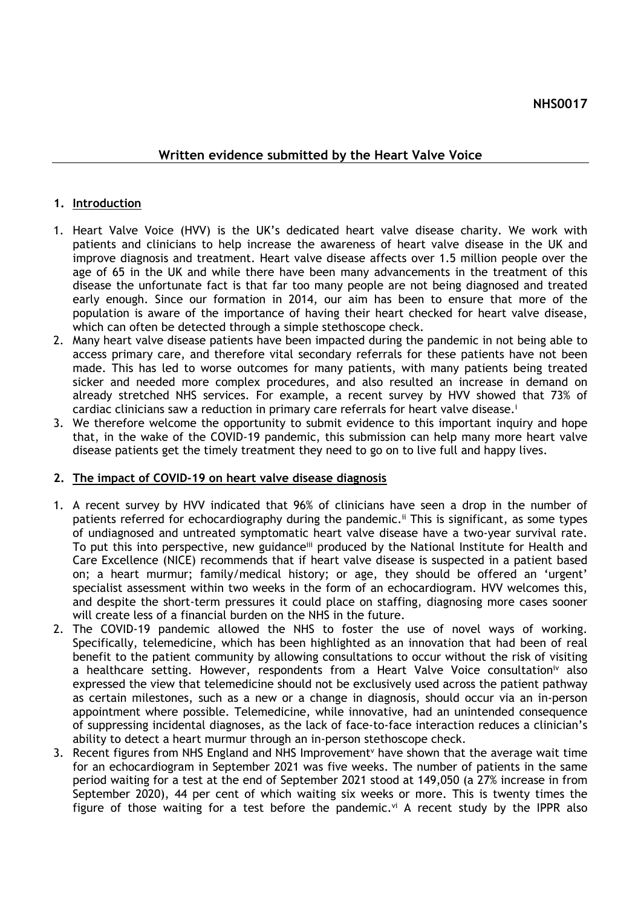## **Written evidence submitted by the Heart Valve Voice**

## **1. Introduction**

- 1. Heart Valve Voice (HVV) is the UK's dedicated heart valve disease charity. We work with patients and clinicians to help increase the awareness of heart valve disease in the UK and improve diagnosis and treatment. Heart valve disease affects over 1.5 million people over the age of 65 in the UK and while there have been many advancements in the treatment of this disease the unfortunate fact is that far too many people are not being diagnosed and treated early enough. Since our formation in 2014, our aim has been to ensure that more of the population is aware of the importance of having their heart checked for heart valve disease, which can often be detected through a simple stethoscope check.
- 2. Many heart valve disease patients have been impacted during the pandemic in not being able to access primary care, and therefore vital secondary referrals for these patients have not been made. This has led to worse outcomes for many patients, with many patients being treated sicker and needed more complex procedures, and also resulted an increase in demand on already stretched NHS services. For example, a recent survey by HVV showed that 73% of cardiac clinicians saw a reduction in primary care referrals for heart valve disease.<sup>1</sup>
- 3. We therefore welcome the opportunity to submit evidence to this important inquiry and hope that, in the wake of the COVID-19 pandemic, this submission can help many more heart valve disease patients get the timely treatment they need to go on to live full and happy lives.

## **2. The impact of COVID-19 on heart valve disease diagnosis**

- 1. A recent survey by HVV indicated that 96% of clinicians have seen a drop in the number of patients referred for echocardiography during the pandemic.<sup>ii</sup> This is significant, as some types of undiagnosed and untreated symptomatic heart valve disease have a two-year survival rate. To put this into perspective, new guidance<sup>iii</sup> produced by the National Institute for Health and Care Excellence (NICE) recommends that if heart valve disease is suspected in a patient based on; a heart murmur; family/medical history; or age, they should be offered an 'urgent' specialist assessment within two weeks in the form of an echocardiogram. HVV welcomes this, and despite the short-term pressures it could place on staffing, diagnosing more cases sooner will create less of a financial burden on the NHS in the future.
- 2. The COVID-19 pandemic allowed the NHS to foster the use of novel ways of working. Specifically, telemedicine, which has been highlighted as an innovation that had been of real benefit to the patient community by allowing consultations to occur without the risk of visiting a healthcare setting. However, respondents from a Heart Valve Voice consultation<sup>iv</sup> also expressed the view that telemedicine should not be exclusively used across the patient pathway as certain milestones, such as a new or a change in diagnosis, should occur via an in-person appointment where possible. Telemedicine, while innovative, had an unintended consequence of suppressing incidental diagnoses, as the lack of face-to-face interaction reduces a clinician's ability to detect a heart murmur through an in-person stethoscope check.
- 3. Recent figures from NHS England and NHS Improvement<sup>v</sup> have shown that the average wait time for an echocardiogram in September 2021 was five weeks. The number of patients in the same period waiting for a test at the end of September 2021 stood at 149,050 (a 27% increase in from September 2020), 44 per cent of which waiting six weeks or more. This is twenty times the figure of those waiting for a test before the pandemic. $vi$  A recent study by the IPPR also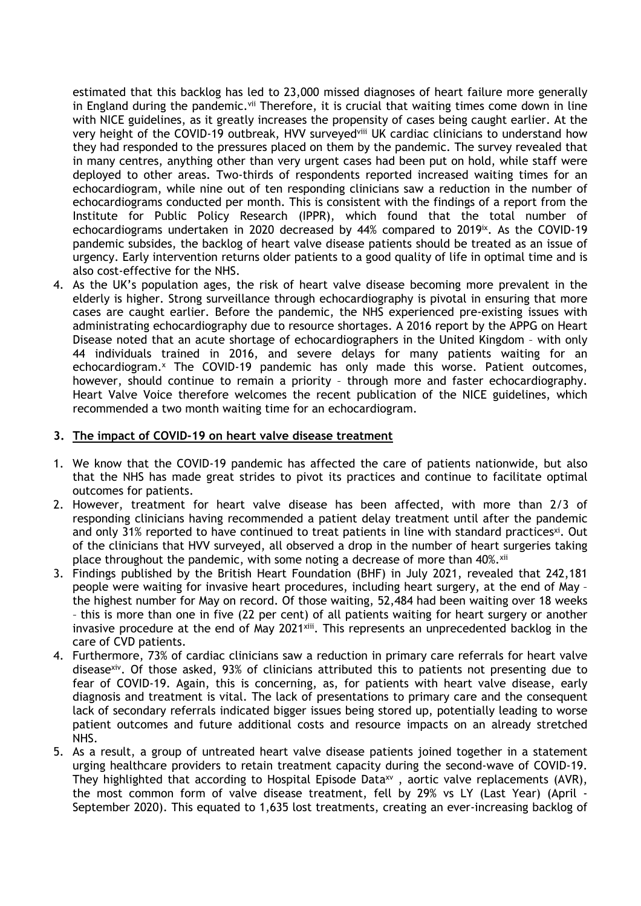estimated that this backlog has led to 23,000 missed diagnoses of heart failure more generally in England during the pandemic. $v<sup>ii</sup>$  Therefore, it is crucial that waiting times come down in line with NICE guidelines, as it greatly increases the propensity of cases being caught earlier. At the very height of the COVID-19 outbreak, HVV surveyedviii UK cardiac clinicians to understand how they had responded to the pressures placed on them by the pandemic. The survey revealed that in many centres, anything other than very urgent cases had been put on hold, while staff were deployed to other areas. Two-thirds of respondents reported increased waiting times for an echocardiogram, while nine out of ten responding clinicians saw a reduction in the number of echocardiograms conducted per month. This is consistent with the findings of a report from the Institute for Public Policy Research (IPPR), which found that the total number of echocardiograms undertaken in 2020 decreased by 44% compared to 2019ix . As the COVID-19 pandemic subsides, the backlog of heart valve disease patients should be treated as an issue of urgency. Early intervention returns older patients to a good quality of life in optimal time and is also cost-effective for the NHS.

4. As the UK's population ages, the risk of heart valve disease becoming more prevalent in the elderly is higher. Strong surveillance through echocardiography is pivotal in ensuring that more cases are caught earlier. Before the pandemic, the NHS experienced pre-existing issues with administrating echocardiography due to resource shortages. A 2016 report by the APPG on Heart Disease noted that an acute shortage of echocardiographers in the United Kingdom – with only 44 individuals trained in 2016, and severe delays for many patients waiting for an echocardiogram.<sup>x</sup> The COVID-19 pandemic has only made this worse. Patient outcomes, however, should continue to remain a priority – through more and faster echocardiography. Heart Valve Voice therefore welcomes the recent publication of the NICE guidelines, which recommended a two month waiting time for an echocardiogram.

## **3. The impact of COVID-19 on heart valve disease treatment**

- 1. We know that the COVID-19 pandemic has affected the care of patients nationwide, but also that the NHS has made great strides to pivot its practices and continue to facilitate optimal outcomes for patients.
- 2. However, treatment for heart valve disease has been affected, with more than 2/3 of responding clinicians having recommended a patient delay treatment until after the pandemic and only 31% reported to have continued to treat patients in line with standard practices<sup>xi</sup>. Out of the clinicians that HVV surveyed, all observed a drop in the number of heart surgeries taking place throughout the pandemic, with some noting a decrease of more than 40%.xii
- 3. Findings published by the British Heart Foundation (BHF) in July 2021, revealed that 242,181 people were waiting for invasive heart procedures, including heart surgery, at the end of May – the highest number for May on record. Of those waiting, 52,484 had been waiting over 18 weeks – this is more than one in five (22 per cent) of all patients waiting for heart surgery or another invasive procedure at the end of May 2021<sup>xiii</sup>. This represents an unprecedented backlog in the care of CVD patients.
- 4. Furthermore, 73% of cardiac clinicians saw a reduction in primary care referrals for heart valve disease<sup>xiv</sup>. Of those asked, 93% of clinicians attributed this to patients not presenting due to fear of COVID-19. Again, this is concerning, as, for patients with heart valve disease, early diagnosis and treatment is vital. The lack of presentations to primary care and the consequent lack of secondary referrals indicated bigger issues being stored up, potentially leading to worse patient outcomes and future additional costs and resource impacts on an already stretched NHS.
- 5. As a result, a group of untreated heart valve disease patients joined together in a statement urging healthcare providers to retain treatment capacity during the second-wave of COVID-19. They highlighted that according to Hospital Episode Data<sup>xv</sup>, aortic valve replacements (AVR), the most common form of valve disease treatment, fell by 29% vs LY (Last Year) (April - September 2020). This equated to 1,635 lost treatments, creating an ever-increasing backlog of